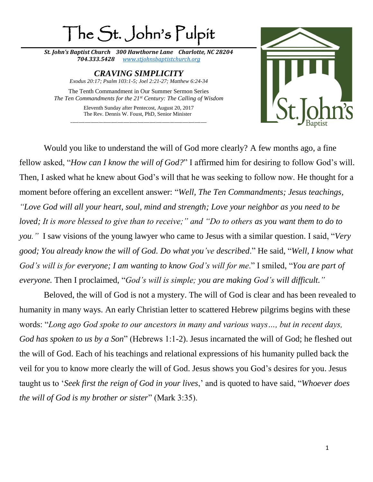## The St. John's Pulpit

*St. John's Baptist Church 300 Hawthorne Lane Charlotte, NC 28204 704.333.5428 [www.stjohnsbaptistchurch.org](http://www.stjohnsbaptistchurch.org/)*

> *CRAVING SIMPLICITY Exodus 20:17; Psalm 103:1-5; Joel 2:21-27; Matthew 6:24-34*

The Tenth Commandment in Our Summer Sermon Series *The Ten Commandments for the 21st Century: The Calling of Wisdom*

> Eleventh Sunday after Pentecost, August 20, 2017 The Rev. Dennis W. Foust, PhD, Senior Minister \_\_\_\_\_\_\_\_\_\_\_\_\_\_\_\_\_\_\_\_\_\_\_\_\_\_\_\_\_\_\_\_\_\_\_\_\_\_\_\_\_\_\_\_\_\_\_\_\_\_\_\_\_\_\_\_\_\_\_\_\_\_\_\_\_\_\_



Would you like to understand the will of God more clearly? A few months ago, a fine fellow asked, "*How can I know the will of God?*" I affirmed him for desiring to follow God's will. Then, I asked what he knew about God's will that he was seeking to follow now. He thought for a moment before offering an excellent answer: "*Well, The Ten Commandments; Jesus teachings, "Love God will all your heart, soul, mind and strength; Love your neighbor as you need to be loved; It is more blessed to give than to receive;" and "Do to others as you want them to do to you."* I saw visions of the young lawyer who came to Jesus with a similar question. I said, "*Very good; You already know the will of God. Do what you've described*." He said, "*Well, I know what God's will is for everyone; I am wanting to know God's will for me*." I smiled, "*You are part of everyone.* Then I proclaimed, "*God's will is simple; you are making God's will difficult."*

Beloved, the will of God is not a mystery. The will of God is clear and has been revealed to humanity in many ways. An early Christian letter to scattered Hebrew pilgrims begins with these words: "*Long ago God spoke to our ancestors in many and various ways…, but in recent days, God has spoken to us by a Son*" (Hebrews 1:1-2). Jesus incarnated the will of God; he fleshed out the will of God. Each of his teachings and relational expressions of his humanity pulled back the veil for you to know more clearly the will of God. Jesus shows you God's desires for you. Jesus taught us to '*Seek first the reign of God in your lives*,' and is quoted to have said, "*Whoever does the will of God is my brother or sister*" (Mark 3:35).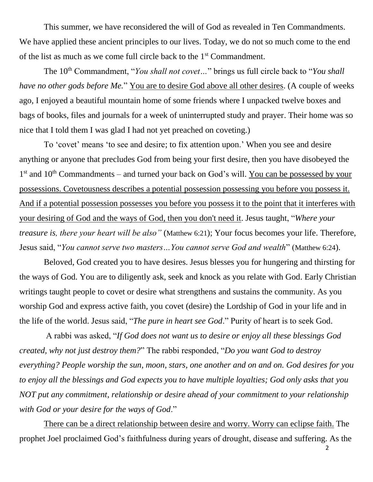This summer, we have reconsidered the will of God as revealed in Ten Commandments. We have applied these ancient principles to our lives. Today, we do not so much come to the end of the list as much as we come full circle back to the 1<sup>st</sup> Commandment.

The 10<sup>th</sup> Commandment, "*You shall not covet*..." brings us full circle back to "*You shall have no other gods before Me.*" You are to desire God above all other desires. (A couple of weeks ago, I enjoyed a beautiful mountain home of some friends where I unpacked twelve boxes and bags of books, files and journals for a week of uninterrupted study and prayer. Their home was so nice that I told them I was glad I had not yet preached on coveting.)

To 'covet' means 'to see and desire; to fix attention upon.' When you see and desire anything or anyone that precludes God from being your first desire, then you have disobeyed the  $1<sup>st</sup>$  and  $10<sup>th</sup>$  Commandments – and turned your back on God's will. You can be possessed by your possessions. Covetousness describes a potential possession possessing you before you possess it. And if a potential possession possesses you before you possess it to the point that it interferes with your desiring of God and the ways of God, then you don't need it. Jesus taught, "*Where your treasure is, there your heart will be also"* (Matthew 6:21); Your focus becomes your life. Therefore, Jesus said, "*You cannot serve two masters…You cannot serve God and wealth*" (Matthew 6:24).

Beloved, God created you to have desires. Jesus blesses you for hungering and thirsting for the ways of God. You are to diligently ask, seek and knock as you relate with God. Early Christian writings taught people to covet or desire what strengthens and sustains the community. As you worship God and express active faith, you covet (desire) the Lordship of God in your life and in the life of the world. Jesus said, "*The pure in heart see God*." Purity of heart is to seek God.

A rabbi was asked, "*If God does not want us to desire or enjoy all these blessings God created, why not just destroy them?*" The rabbi responded, "*Do you want God to destroy everything? People worship the sun, moon, stars, one another and on and on. God desires for you to enjoy all the blessings and God expects you to have multiple loyalties; God only asks that you NOT put any commitment, relationship or desire ahead of your commitment to your relationship with God or your desire for the ways of God*."

There can be a direct relationship between desire and worry. Worry can eclipse faith. The prophet Joel proclaimed God's faithfulness during years of drought, disease and suffering. As the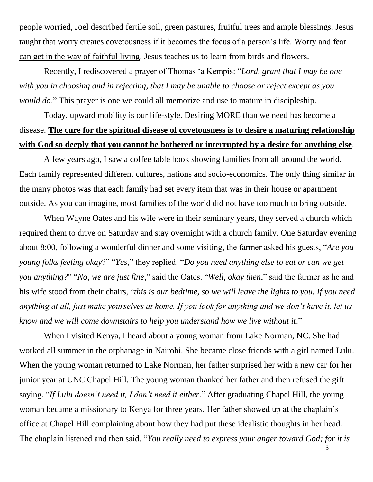people worried, Joel described fertile soil, green pastures, fruitful trees and ample blessings. Jesus taught that worry creates covetousness if it becomes the focus of a person's life. Worry and fear can get in the way of faithful living. Jesus teaches us to learn from birds and flowers.

Recently, I rediscovered a prayer of Thomas 'a Kempis: "*Lord, grant that I may be one with you in choosing and in rejecting, that I may be unable to choose or reject except as you would do*." This prayer is one we could all memorize and use to mature in discipleship.

Today, upward mobility is our life-style. Desiring MORE than we need has become a disease. **The cure for the spiritual disease of covetousness is to desire a maturing relationship with God so deeply that you cannot be bothered or interrupted by a desire for anything else**.

A few years ago, I saw a coffee table book showing families from all around the world. Each family represented different cultures, nations and socio-economics. The only thing similar in the many photos was that each family had set every item that was in their house or apartment outside. As you can imagine, most families of the world did not have too much to bring outside.

When Wayne Oates and his wife were in their seminary years, they served a church which required them to drive on Saturday and stay overnight with a church family. One Saturday evening about 8:00, following a wonderful dinner and some visiting, the farmer asked his guests, "*Are you young folks feeling okay*?" "*Yes*," they replied. "*Do you need anything else to eat or can we get you anything?*" "*No, we are just fine*," said the Oates. "*Well, okay then*," said the farmer as he and his wife stood from their chairs, "*this is our bedtime, so we will leave the lights to you. If you need anything at all, just make yourselves at home. If you look for anything and we don't have it, let us know and we will come downstairs to help you understand how we live without it*."

When I visited Kenya, I heard about a young woman from Lake Norman, NC. She had worked all summer in the orphanage in Nairobi. She became close friends with a girl named Lulu. When the young woman returned to Lake Norman, her father surprised her with a new car for her junior year at UNC Chapel Hill. The young woman thanked her father and then refused the gift saying, "*If Lulu doesn't need it, I don't need it either*." After graduating Chapel Hill, the young woman became a missionary to Kenya for three years. Her father showed up at the chaplain's office at Chapel Hill complaining about how they had put these idealistic thoughts in her head. The chaplain listened and then said, "*You really need to express your anger toward God; for it is*